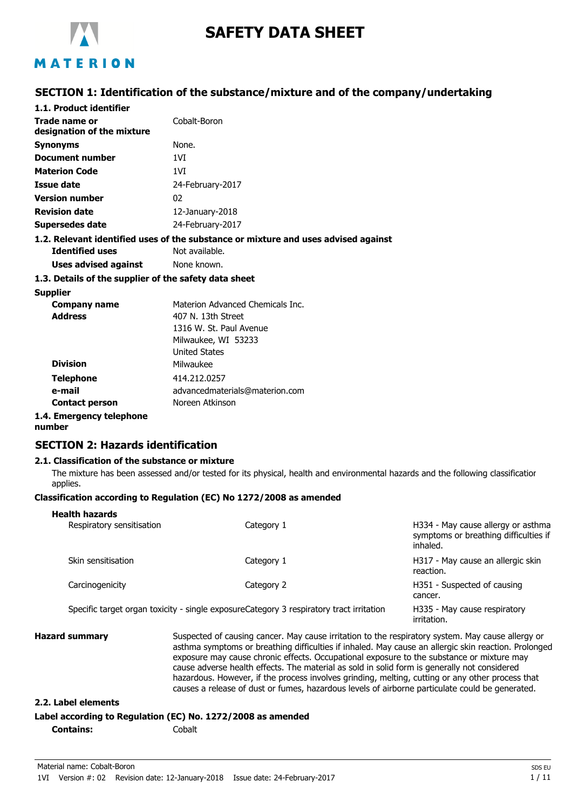

# **SAFETY DATA SHEET**

## MATERION

### **SECTION 1: Identification of the substance/mixture and of the company/undertaking**

| 1.1. Product identifier                               |                                                                                    |
|-------------------------------------------------------|------------------------------------------------------------------------------------|
| Trade name or<br>designation of the mixture           | Cobalt-Boron                                                                       |
| <b>Synonyms</b>                                       | None.                                                                              |
| Document number                                       | 1VI                                                                                |
| <b>Materion Code</b>                                  | 1VI                                                                                |
| Issue date                                            | 24-February-2017                                                                   |
| <b>Version number</b>                                 | 02                                                                                 |
| <b>Revision date</b>                                  | $12$ -January-2018                                                                 |
| Supersedes date                                       | 24-February-2017                                                                   |
|                                                       | 1.2. Relevant identified uses of the substance or mixture and uses advised against |
| <b>Identified uses</b>                                | Not available.                                                                     |
| Uses advised against                                  | None known.                                                                        |
| 1.3. Details of the supplier of the safety data sheet |                                                                                    |
| Supplier                                              |                                                                                    |
| Company name                                          | Materion Advanced Chemicals Inc.                                                   |
|                                                       |                                                                                    |

| Company name          | Materion Advanced Chemicals Inc. |
|-----------------------|----------------------------------|
| <b>Address</b>        | 407 N. 13th Street               |
|                       | 1316 W. St. Paul Avenue          |
|                       | Milwaukee, WI 53233              |
|                       | <b>United States</b>             |
| <b>Division</b>       | Milwaukee                        |
| <b>Telephone</b>      | 414.212.0257                     |
| e-mail                | advancedmaterials@materion.com   |
| <b>Contact person</b> | Noreen Atkinson                  |
|                       |                                  |

#### **1.4. Emergency telephone**

**number**

#### **SECTION 2: Hazards identification**

#### **2.1. Classification of the substance or mixture**

The mixture has been assessed and/or tested for its physical, health and environmental hazards and the following classification applies.

#### **Classification according to Regulation (EC) No 1272/2008 as amended**

| <b>Health hazards</b><br>Respiratory sensitisation | Category 1                                                                              | H334 - May cause allergy or asthma<br>symptoms or breathing difficulties if<br>inhaled. |
|----------------------------------------------------|-----------------------------------------------------------------------------------------|-----------------------------------------------------------------------------------------|
| Skin sensitisation                                 | Category 1                                                                              | H317 - May cause an allergic skin<br>reaction.                                          |
| Carcinogenicity                                    | Category 2                                                                              | H351 - Suspected of causing<br>cancer.                                                  |
|                                                    | Specific target organ toxicity - single exposureCategory 3 respiratory tract irritation | H335 - May cause respiratory<br>irritation.                                             |

**Hazard summary** Suspected of causing cancer. May cause irritation to the respiratory system. May cause allergy or asthma symptoms or breathing difficulties if inhaled. May cause an allergic skin reaction. Prolonged exposure may cause chronic effects. Occupational exposure to the substance or mixture may cause adverse health effects. The material as sold in solid form is generally not considered hazardous. However, if the process involves grinding, melting, cutting or any other process that causes a release of dust or fumes, hazardous levels of airborne particulate could be generated.

#### **2.2. Label elements**

#### **Label according to Regulation (EC) No. 1272/2008 as amended**

**Contains:** Cobalt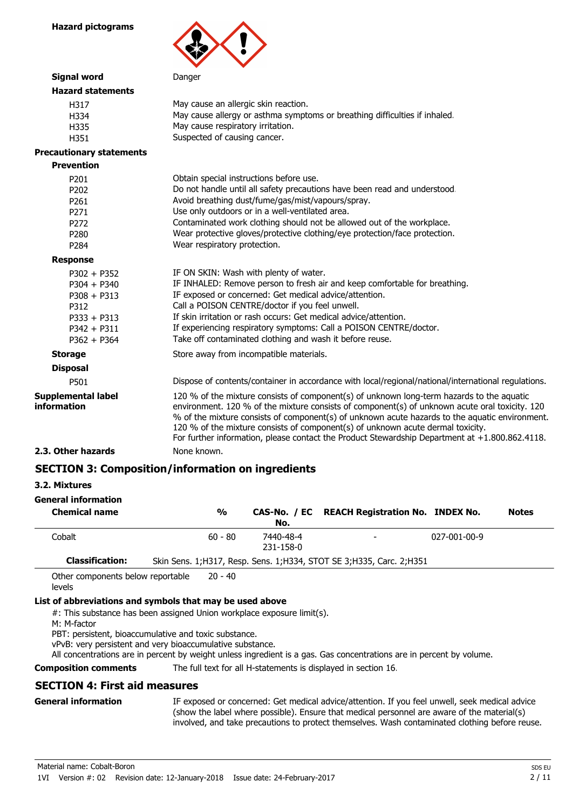

| <b>Signal word</b>                                                                                         | Danger                                                                                                                                                                                                                                                                                                                                                                                                                                                                             |
|------------------------------------------------------------------------------------------------------------|------------------------------------------------------------------------------------------------------------------------------------------------------------------------------------------------------------------------------------------------------------------------------------------------------------------------------------------------------------------------------------------------------------------------------------------------------------------------------------|
| <b>Hazard statements</b>                                                                                   |                                                                                                                                                                                                                                                                                                                                                                                                                                                                                    |
| H317<br>H334<br>H335<br>H351                                                                               | May cause an allergic skin reaction.<br>May cause allergy or asthma symptoms or breathing difficulties if inhaled.<br>May cause respiratory irritation.<br>Suspected of causing cancer.                                                                                                                                                                                                                                                                                            |
| <b>Precautionary statements</b>                                                                            |                                                                                                                                                                                                                                                                                                                                                                                                                                                                                    |
| <b>Prevention</b>                                                                                          |                                                                                                                                                                                                                                                                                                                                                                                                                                                                                    |
| P201<br>P202<br>P261<br>P271<br>P <sub>272</sub><br>P280<br>P <sub>284</sub>                               | Obtain special instructions before use.<br>Do not handle until all safety precautions have been read and understood.<br>Avoid breathing dust/fume/gas/mist/vapours/spray.<br>Use only outdoors or in a well-ventilated area.<br>Contaminated work clothing should not be allowed out of the workplace.<br>Wear protective gloves/protective clothing/eye protection/face protection.<br>Wear respiratory protection.                                                               |
| <b>Response</b>                                                                                            |                                                                                                                                                                                                                                                                                                                                                                                                                                                                                    |
| $P302 + P352$<br>$P304 + P340$<br>$P308 + P313$<br>P312<br>$P333 + P313$<br>$P342 + P311$<br>$P362 + P364$ | IF ON SKIN: Wash with plenty of water.<br>IF INHALED: Remove person to fresh air and keep comfortable for breathing.<br>IF exposed or concerned: Get medical advice/attention.<br>Call a POISON CENTRE/doctor if you feel unwell.<br>If skin irritation or rash occurs: Get medical advice/attention.<br>If experiencing respiratory symptoms: Call a POISON CENTRE/doctor.<br>Take off contaminated clothing and wash it before reuse.                                            |
| <b>Storage</b>                                                                                             | Store away from incompatible materials.                                                                                                                                                                                                                                                                                                                                                                                                                                            |
| <b>Disposal</b>                                                                                            |                                                                                                                                                                                                                                                                                                                                                                                                                                                                                    |
| P501                                                                                                       | Dispose of contents/container in accordance with local/regional/national/international regulations.                                                                                                                                                                                                                                                                                                                                                                                |
| <b>Supplemental label</b><br>information                                                                   | 120 % of the mixture consists of component(s) of unknown long-term hazards to the aquatic<br>environment. 120 % of the mixture consists of component(s) of unknown acute oral toxicity. 120<br>% of the mixture consists of component(s) of unknown acute hazards to the aquatic environment.<br>120 % of the mixture consists of component(s) of unknown acute dermal toxicity.<br>For further information, please contact the Product Stewardship Department at +1.800.862.4118. |
| 2.3. Other hazards                                                                                         | None known.                                                                                                                                                                                                                                                                                                                                                                                                                                                                        |
|                                                                                                            |                                                                                                                                                                                                                                                                                                                                                                                                                                                                                    |

## **SECTION 3: Composition/information on ingredients**

### **3.2. Mixtures**

### **General information**

| <b>Chemical name</b>   | $\frac{1}{2}$ | No.                    | CAS-No. / EC REACH Registration No. INDEX No.                           |              | <b>Notes</b> |
|------------------------|---------------|------------------------|-------------------------------------------------------------------------|--------------|--------------|
| Cobalt                 | $60 - 80$     | 7440-48-4<br>231-158-0 | $\overline{\phantom{0}}$                                                | 027-001-00-9 |              |
| <b>Classification:</b> |               |                        | Skin Sens. 1; H317, Resp. Sens. 1; H334, STOT SE 3; H335, Carc. 2; H351 |              |              |
|                        |               |                        |                                                                         |              |              |

Other components below reportable levels 20 - 40

## **List of abbreviations and symbols that may be used above**

#: This substance has been assigned Union workplace exposure limit(s).

M: M-factor

PBT: persistent, bioaccumulative and toxic substance.

vPvB: very persistent and very bioaccumulative substance.

All concentrations are in percent by weight unless ingredient is a gas. Gas concentrations are in percent by volume.

**Composition comments** The full text for all H-statements is displayed in section 16.

## **SECTION 4: First aid measures**

## **General information**

IF exposed or concerned: Get medical advice/attention. If you feel unwell, seek medical advice (show the label where possible). Ensure that medical personnel are aware of the material(s) involved, and take precautions to protect themselves. Wash contaminated clothing before reuse.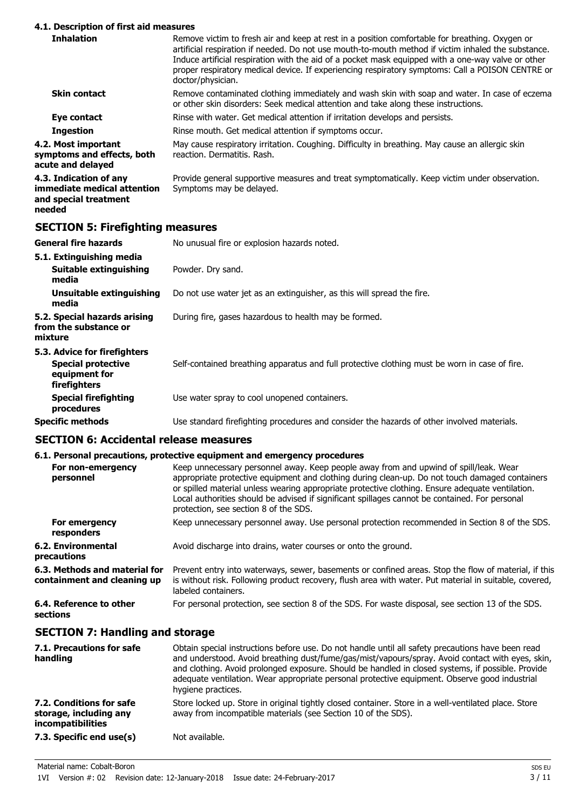#### **4.1. Description of first aid measures**

| 7.1. Description or m st and measures                                          |                                                                                                                                                                                                                                                                                                                                                                                                                                      |
|--------------------------------------------------------------------------------|--------------------------------------------------------------------------------------------------------------------------------------------------------------------------------------------------------------------------------------------------------------------------------------------------------------------------------------------------------------------------------------------------------------------------------------|
| <b>Inhalation</b>                                                              | Remove victim to fresh air and keep at rest in a position comfortable for breathing. Oxygen or<br>artificial respiration if needed. Do not use mouth-to-mouth method if victim inhaled the substance.<br>Induce artificial respiration with the aid of a pocket mask equipped with a one-way valve or other<br>proper respiratory medical device. If experiencing respiratory symptoms: Call a POISON CENTRE or<br>doctor/physician. |
| <b>Skin contact</b>                                                            | Remove contaminated clothing immediately and wash skin with soap and water. In case of eczema<br>or other skin disorders: Seek medical attention and take along these instructions.                                                                                                                                                                                                                                                  |
| Eye contact                                                                    | Rinse with water. Get medical attention if irritation develops and persists.                                                                                                                                                                                                                                                                                                                                                         |
| <b>Ingestion</b>                                                               | Rinse mouth. Get medical attention if symptoms occur.                                                                                                                                                                                                                                                                                                                                                                                |
| 4.2. Most important<br>symptoms and effects, both<br>acute and delayed         | May cause respiratory irritation. Coughing. Difficulty in breathing. May cause an allergic skin<br>reaction. Dermatitis. Rash.                                                                                                                                                                                                                                                                                                       |
| 4.3. Indication of any<br>immediate medical attention<br>and special treatment | Provide general supportive measures and treat symptomatically. Keep victim under observation.<br>Symptoms may be delayed.                                                                                                                                                                                                                                                                                                            |

## **needed**

## **SECTION 5: Firefighting measures**

| <b>General fire hazards</b>                                                                | No unusual fire or explosion hazards noted.                                                   |  |  |  |  |
|--------------------------------------------------------------------------------------------|-----------------------------------------------------------------------------------------------|--|--|--|--|
| 5.1. Extinguishing media<br>Suitable extinguishing<br>media                                | Powder. Dry sand.                                                                             |  |  |  |  |
| Unsuitable extinguishing<br>media                                                          | Do not use water jet as an extinguisher, as this will spread the fire.                        |  |  |  |  |
| 5.2. Special hazards arising<br>from the substance or<br>mixture                           | During fire, gases hazardous to health may be formed.                                         |  |  |  |  |
| 5.3. Advice for firefighters<br><b>Special protective</b><br>equipment for<br>firefighters | Self-contained breathing apparatus and full protective clothing must be worn in case of fire. |  |  |  |  |
| <b>Special firefighting</b><br>procedures                                                  | Use water spray to cool unopened containers.                                                  |  |  |  |  |
| <b>Specific methods</b>                                                                    | Use standard firefighting procedures and consider the hazards of other involved materials.    |  |  |  |  |

## **SECTION 6: Accidental release measures**

|                                                              | 6.1. Personal precautions, protective equipment and emergency procedures                                                                                                                                                                                                                                                                                                                                                               |
|--------------------------------------------------------------|----------------------------------------------------------------------------------------------------------------------------------------------------------------------------------------------------------------------------------------------------------------------------------------------------------------------------------------------------------------------------------------------------------------------------------------|
| For non-emergency<br>personnel                               | Keep unnecessary personnel away. Keep people away from and upwind of spill/leak. Wear<br>appropriate protective equipment and clothing during clean-up. Do not touch damaged containers<br>or spilled material unless wearing appropriate protective clothing. Ensure adequate ventilation.<br>Local authorities should be advised if significant spillages cannot be contained. For personal<br>protection, see section 8 of the SDS. |
| For emergency<br>responders                                  | Keep unnecessary personnel away. Use personal protection recommended in Section 8 of the SDS.                                                                                                                                                                                                                                                                                                                                          |
| 6.2. Environmental<br>precautions                            | Avoid discharge into drains, water courses or onto the ground.                                                                                                                                                                                                                                                                                                                                                                         |
| 6.3. Methods and material for<br>containment and cleaning up | Prevent entry into waterways, sewer, basements or confined areas. Stop the flow of material, if this<br>is without risk. Following product recovery, flush area with water. Put material in suitable, covered,<br>labeled containers.                                                                                                                                                                                                  |
| 6.4. Reference to other<br>sections                          | For personal protection, see section 8 of the SDS. For waste disposal, see section 13 of the SDS.                                                                                                                                                                                                                                                                                                                                      |
|                                                              |                                                                                                                                                                                                                                                                                                                                                                                                                                        |

## **SECTION 7: Handling and storage**

| 7.1. Precautions for safe<br>handling                                          | Obtain special instructions before use. Do not handle until all safety precautions have been read<br>and understood. Avoid breathing dust/fume/gas/mist/vapours/spray. Avoid contact with eyes, skin,<br>and clothing. Avoid prolonged exposure. Should be handled in closed systems, if possible. Provide<br>adequate ventilation. Wear appropriate personal protective equipment. Observe good industrial<br>hygiene practices. |
|--------------------------------------------------------------------------------|-----------------------------------------------------------------------------------------------------------------------------------------------------------------------------------------------------------------------------------------------------------------------------------------------------------------------------------------------------------------------------------------------------------------------------------|
| 7.2. Conditions for safe<br>storage, including any<br><i>incompatibilities</i> | Store locked up. Store in original tightly closed container. Store in a well-ventilated place. Store<br>away from incompatible materials (see Section 10 of the SDS).                                                                                                                                                                                                                                                             |
| 7.3. Specific end use(s)                                                       | Not available.                                                                                                                                                                                                                                                                                                                                                                                                                    |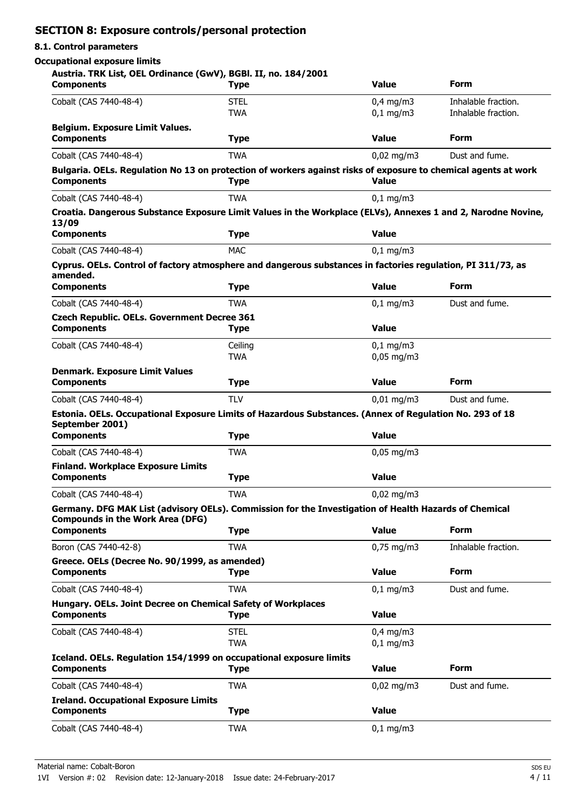## **SECTION 8: Exposure controls/personal protection**

#### **8.1. Control parameters**

#### **Occupational exposure limits**

#### **Austria. TRK List, OEL Ordinance (GwV), BGBl. II, no. 184/2001**

| Cobalt (CAS 7440-48-4)<br><b>STEL</b><br>$0,4$ mg/m3<br>Inhalable fraction.<br><b>TWA</b><br>$0,1$ mg/m3<br>Inhalable fraction.<br><b>Belgium. Exposure Limit Values.</b><br><b>Form</b><br><b>Value</b><br><b>Components</b><br><b>Type</b><br><b>TWA</b><br>$0,02$ mg/m3<br>Cobalt (CAS 7440-48-4)<br>Dust and fume.<br>Bulgaria. OELs. Regulation No 13 on protection of workers against risks of exposure to chemical agents at work<br><b>Components</b><br><b>Value</b><br><b>Type</b><br><b>TWA</b><br>Cobalt (CAS 7440-48-4)<br>$0,1$ mg/m $3$<br>Croatia. Dangerous Substance Exposure Limit Values in the Workplace (ELVs), Annexes 1 and 2, Narodne Novine,<br>13/09<br><b>Components</b><br><b>Value</b><br><b>Type</b><br><b>MAC</b><br>Cobalt (CAS 7440-48-4)<br>$0,1$ mg/m3<br>Cyprus. OELs. Control of factory atmosphere and dangerous substances in factories regulation, PI 311/73, as<br>amended.<br><b>Form</b><br><b>Value</b><br><b>Components</b><br><b>Type</b><br><b>TWA</b><br>Cobalt (CAS 7440-48-4)<br>$0,1$ mg/m3<br>Dust and fume.<br><b>Czech Republic. OELs. Government Decree 361</b><br><b>Value</b><br><b>Components</b><br><b>Type</b><br>Cobalt (CAS 7440-48-4)<br>Ceiling<br>$0,1$ mg/m3<br><b>TWA</b><br>$0,05$ mg/m3<br><b>Denmark. Exposure Limit Values</b><br><b>Value</b><br><b>Form</b><br><b>Components</b><br><b>Type</b><br>Cobalt (CAS 7440-48-4)<br><b>TLV</b><br>$0,01$ mg/m3<br>Dust and fume.<br>Estonia. OELs. Occupational Exposure Limits of Hazardous Substances. (Annex of Regulation No. 293 of 18<br>September 2001)<br><b>Value</b><br><b>Components</b><br><b>Type</b><br>Cobalt (CAS 7440-48-4)<br><b>TWA</b><br>$0,05$ mg/m3<br><b>Finland. Workplace Exposure Limits</b><br><b>Components</b><br><b>Value</b><br><b>Type</b><br><b>TWA</b><br>Cobalt (CAS 7440-48-4)<br>$0,02$ mg/m3<br>Germany. DFG MAK List (advisory OELs). Commission for the Investigation of Health Hazards of Chemical<br><b>Compounds in the Work Area (DFG)</b><br><b>Form</b><br><b>Value</b><br><b>Components</b><br><b>Type</b><br>Boron (CAS 7440-42-8)<br><b>TWA</b><br>$0,75$ mg/m3<br>Inhalable fraction.<br>Greece. OELs (Decree No. 90/1999, as amended)<br><b>Form</b><br><b>Value</b><br><b>Components</b><br><b>Type</b><br><b>TWA</b><br>$0,1$ mg/m3<br>Cobalt (CAS 7440-48-4)<br>Dust and fume.<br>Hungary. OELs. Joint Decree on Chemical Safety of Workplaces<br><b>Components</b><br><b>Value</b><br><b>Type</b><br>Cobalt (CAS 7440-48-4)<br><b>STEL</b><br>$0,4$ mg/m3<br><b>TWA</b><br>$0,1$ mg/m3<br>Iceland. OELs. Regulation 154/1999 on occupational exposure limits<br><b>Form</b><br><b>Value</b><br><b>Components</b><br><b>Type</b><br><b>TWA</b><br>Dust and fume.<br>Cobalt (CAS 7440-48-4)<br>$0,02$ mg/m3<br><b>Ireland. Occupational Exposure Limits</b><br><b>Value</b><br><b>Components</b><br><b>Type</b><br>Cobalt (CAS 7440-48-4)<br>$0,1$ mg/m3<br><b>TWA</b> | <b>Components</b> | <b>Type</b> | <b>Value</b> | <b>Form</b> |
|-------------------------------------------------------------------------------------------------------------------------------------------------------------------------------------------------------------------------------------------------------------------------------------------------------------------------------------------------------------------------------------------------------------------------------------------------------------------------------------------------------------------------------------------------------------------------------------------------------------------------------------------------------------------------------------------------------------------------------------------------------------------------------------------------------------------------------------------------------------------------------------------------------------------------------------------------------------------------------------------------------------------------------------------------------------------------------------------------------------------------------------------------------------------------------------------------------------------------------------------------------------------------------------------------------------------------------------------------------------------------------------------------------------------------------------------------------------------------------------------------------------------------------------------------------------------------------------------------------------------------------------------------------------------------------------------------------------------------------------------------------------------------------------------------------------------------------------------------------------------------------------------------------------------------------------------------------------------------------------------------------------------------------------------------------------------------------------------------------------------------------------------------------------------------------------------------------------------------------------------------------------------------------------------------------------------------------------------------------------------------------------------------------------------------------------------------------------------------------------------------------------------------------------------------------------------------------------------------------------------------------------------------------------------------------------------------------------------------------------------------------------------------------------------------------------------------------------------------------------------------------------------------------------------------------------------------|-------------------|-------------|--------------|-------------|
|                                                                                                                                                                                                                                                                                                                                                                                                                                                                                                                                                                                                                                                                                                                                                                                                                                                                                                                                                                                                                                                                                                                                                                                                                                                                                                                                                                                                                                                                                                                                                                                                                                                                                                                                                                                                                                                                                                                                                                                                                                                                                                                                                                                                                                                                                                                                                                                                                                                                                                                                                                                                                                                                                                                                                                                                                                                                                                                                                 |                   |             |              |             |
|                                                                                                                                                                                                                                                                                                                                                                                                                                                                                                                                                                                                                                                                                                                                                                                                                                                                                                                                                                                                                                                                                                                                                                                                                                                                                                                                                                                                                                                                                                                                                                                                                                                                                                                                                                                                                                                                                                                                                                                                                                                                                                                                                                                                                                                                                                                                                                                                                                                                                                                                                                                                                                                                                                                                                                                                                                                                                                                                                 |                   |             |              |             |
|                                                                                                                                                                                                                                                                                                                                                                                                                                                                                                                                                                                                                                                                                                                                                                                                                                                                                                                                                                                                                                                                                                                                                                                                                                                                                                                                                                                                                                                                                                                                                                                                                                                                                                                                                                                                                                                                                                                                                                                                                                                                                                                                                                                                                                                                                                                                                                                                                                                                                                                                                                                                                                                                                                                                                                                                                                                                                                                                                 |                   |             |              |             |
|                                                                                                                                                                                                                                                                                                                                                                                                                                                                                                                                                                                                                                                                                                                                                                                                                                                                                                                                                                                                                                                                                                                                                                                                                                                                                                                                                                                                                                                                                                                                                                                                                                                                                                                                                                                                                                                                                                                                                                                                                                                                                                                                                                                                                                                                                                                                                                                                                                                                                                                                                                                                                                                                                                                                                                                                                                                                                                                                                 |                   |             |              |             |
|                                                                                                                                                                                                                                                                                                                                                                                                                                                                                                                                                                                                                                                                                                                                                                                                                                                                                                                                                                                                                                                                                                                                                                                                                                                                                                                                                                                                                                                                                                                                                                                                                                                                                                                                                                                                                                                                                                                                                                                                                                                                                                                                                                                                                                                                                                                                                                                                                                                                                                                                                                                                                                                                                                                                                                                                                                                                                                                                                 |                   |             |              |             |
|                                                                                                                                                                                                                                                                                                                                                                                                                                                                                                                                                                                                                                                                                                                                                                                                                                                                                                                                                                                                                                                                                                                                                                                                                                                                                                                                                                                                                                                                                                                                                                                                                                                                                                                                                                                                                                                                                                                                                                                                                                                                                                                                                                                                                                                                                                                                                                                                                                                                                                                                                                                                                                                                                                                                                                                                                                                                                                                                                 |                   |             |              |             |
|                                                                                                                                                                                                                                                                                                                                                                                                                                                                                                                                                                                                                                                                                                                                                                                                                                                                                                                                                                                                                                                                                                                                                                                                                                                                                                                                                                                                                                                                                                                                                                                                                                                                                                                                                                                                                                                                                                                                                                                                                                                                                                                                                                                                                                                                                                                                                                                                                                                                                                                                                                                                                                                                                                                                                                                                                                                                                                                                                 |                   |             |              |             |
|                                                                                                                                                                                                                                                                                                                                                                                                                                                                                                                                                                                                                                                                                                                                                                                                                                                                                                                                                                                                                                                                                                                                                                                                                                                                                                                                                                                                                                                                                                                                                                                                                                                                                                                                                                                                                                                                                                                                                                                                                                                                                                                                                                                                                                                                                                                                                                                                                                                                                                                                                                                                                                                                                                                                                                                                                                                                                                                                                 |                   |             |              |             |
|                                                                                                                                                                                                                                                                                                                                                                                                                                                                                                                                                                                                                                                                                                                                                                                                                                                                                                                                                                                                                                                                                                                                                                                                                                                                                                                                                                                                                                                                                                                                                                                                                                                                                                                                                                                                                                                                                                                                                                                                                                                                                                                                                                                                                                                                                                                                                                                                                                                                                                                                                                                                                                                                                                                                                                                                                                                                                                                                                 |                   |             |              |             |
|                                                                                                                                                                                                                                                                                                                                                                                                                                                                                                                                                                                                                                                                                                                                                                                                                                                                                                                                                                                                                                                                                                                                                                                                                                                                                                                                                                                                                                                                                                                                                                                                                                                                                                                                                                                                                                                                                                                                                                                                                                                                                                                                                                                                                                                                                                                                                                                                                                                                                                                                                                                                                                                                                                                                                                                                                                                                                                                                                 |                   |             |              |             |
|                                                                                                                                                                                                                                                                                                                                                                                                                                                                                                                                                                                                                                                                                                                                                                                                                                                                                                                                                                                                                                                                                                                                                                                                                                                                                                                                                                                                                                                                                                                                                                                                                                                                                                                                                                                                                                                                                                                                                                                                                                                                                                                                                                                                                                                                                                                                                                                                                                                                                                                                                                                                                                                                                                                                                                                                                                                                                                                                                 |                   |             |              |             |
|                                                                                                                                                                                                                                                                                                                                                                                                                                                                                                                                                                                                                                                                                                                                                                                                                                                                                                                                                                                                                                                                                                                                                                                                                                                                                                                                                                                                                                                                                                                                                                                                                                                                                                                                                                                                                                                                                                                                                                                                                                                                                                                                                                                                                                                                                                                                                                                                                                                                                                                                                                                                                                                                                                                                                                                                                                                                                                                                                 |                   |             |              |             |
|                                                                                                                                                                                                                                                                                                                                                                                                                                                                                                                                                                                                                                                                                                                                                                                                                                                                                                                                                                                                                                                                                                                                                                                                                                                                                                                                                                                                                                                                                                                                                                                                                                                                                                                                                                                                                                                                                                                                                                                                                                                                                                                                                                                                                                                                                                                                                                                                                                                                                                                                                                                                                                                                                                                                                                                                                                                                                                                                                 |                   |             |              |             |
|                                                                                                                                                                                                                                                                                                                                                                                                                                                                                                                                                                                                                                                                                                                                                                                                                                                                                                                                                                                                                                                                                                                                                                                                                                                                                                                                                                                                                                                                                                                                                                                                                                                                                                                                                                                                                                                                                                                                                                                                                                                                                                                                                                                                                                                                                                                                                                                                                                                                                                                                                                                                                                                                                                                                                                                                                                                                                                                                                 |                   |             |              |             |
|                                                                                                                                                                                                                                                                                                                                                                                                                                                                                                                                                                                                                                                                                                                                                                                                                                                                                                                                                                                                                                                                                                                                                                                                                                                                                                                                                                                                                                                                                                                                                                                                                                                                                                                                                                                                                                                                                                                                                                                                                                                                                                                                                                                                                                                                                                                                                                                                                                                                                                                                                                                                                                                                                                                                                                                                                                                                                                                                                 |                   |             |              |             |
|                                                                                                                                                                                                                                                                                                                                                                                                                                                                                                                                                                                                                                                                                                                                                                                                                                                                                                                                                                                                                                                                                                                                                                                                                                                                                                                                                                                                                                                                                                                                                                                                                                                                                                                                                                                                                                                                                                                                                                                                                                                                                                                                                                                                                                                                                                                                                                                                                                                                                                                                                                                                                                                                                                                                                                                                                                                                                                                                                 |                   |             |              |             |
|                                                                                                                                                                                                                                                                                                                                                                                                                                                                                                                                                                                                                                                                                                                                                                                                                                                                                                                                                                                                                                                                                                                                                                                                                                                                                                                                                                                                                                                                                                                                                                                                                                                                                                                                                                                                                                                                                                                                                                                                                                                                                                                                                                                                                                                                                                                                                                                                                                                                                                                                                                                                                                                                                                                                                                                                                                                                                                                                                 |                   |             |              |             |
|                                                                                                                                                                                                                                                                                                                                                                                                                                                                                                                                                                                                                                                                                                                                                                                                                                                                                                                                                                                                                                                                                                                                                                                                                                                                                                                                                                                                                                                                                                                                                                                                                                                                                                                                                                                                                                                                                                                                                                                                                                                                                                                                                                                                                                                                                                                                                                                                                                                                                                                                                                                                                                                                                                                                                                                                                                                                                                                                                 |                   |             |              |             |
|                                                                                                                                                                                                                                                                                                                                                                                                                                                                                                                                                                                                                                                                                                                                                                                                                                                                                                                                                                                                                                                                                                                                                                                                                                                                                                                                                                                                                                                                                                                                                                                                                                                                                                                                                                                                                                                                                                                                                                                                                                                                                                                                                                                                                                                                                                                                                                                                                                                                                                                                                                                                                                                                                                                                                                                                                                                                                                                                                 |                   |             |              |             |
|                                                                                                                                                                                                                                                                                                                                                                                                                                                                                                                                                                                                                                                                                                                                                                                                                                                                                                                                                                                                                                                                                                                                                                                                                                                                                                                                                                                                                                                                                                                                                                                                                                                                                                                                                                                                                                                                                                                                                                                                                                                                                                                                                                                                                                                                                                                                                                                                                                                                                                                                                                                                                                                                                                                                                                                                                                                                                                                                                 |                   |             |              |             |
|                                                                                                                                                                                                                                                                                                                                                                                                                                                                                                                                                                                                                                                                                                                                                                                                                                                                                                                                                                                                                                                                                                                                                                                                                                                                                                                                                                                                                                                                                                                                                                                                                                                                                                                                                                                                                                                                                                                                                                                                                                                                                                                                                                                                                                                                                                                                                                                                                                                                                                                                                                                                                                                                                                                                                                                                                                                                                                                                                 |                   |             |              |             |
|                                                                                                                                                                                                                                                                                                                                                                                                                                                                                                                                                                                                                                                                                                                                                                                                                                                                                                                                                                                                                                                                                                                                                                                                                                                                                                                                                                                                                                                                                                                                                                                                                                                                                                                                                                                                                                                                                                                                                                                                                                                                                                                                                                                                                                                                                                                                                                                                                                                                                                                                                                                                                                                                                                                                                                                                                                                                                                                                                 |                   |             |              |             |
|                                                                                                                                                                                                                                                                                                                                                                                                                                                                                                                                                                                                                                                                                                                                                                                                                                                                                                                                                                                                                                                                                                                                                                                                                                                                                                                                                                                                                                                                                                                                                                                                                                                                                                                                                                                                                                                                                                                                                                                                                                                                                                                                                                                                                                                                                                                                                                                                                                                                                                                                                                                                                                                                                                                                                                                                                                                                                                                                                 |                   |             |              |             |
|                                                                                                                                                                                                                                                                                                                                                                                                                                                                                                                                                                                                                                                                                                                                                                                                                                                                                                                                                                                                                                                                                                                                                                                                                                                                                                                                                                                                                                                                                                                                                                                                                                                                                                                                                                                                                                                                                                                                                                                                                                                                                                                                                                                                                                                                                                                                                                                                                                                                                                                                                                                                                                                                                                                                                                                                                                                                                                                                                 |                   |             |              |             |
|                                                                                                                                                                                                                                                                                                                                                                                                                                                                                                                                                                                                                                                                                                                                                                                                                                                                                                                                                                                                                                                                                                                                                                                                                                                                                                                                                                                                                                                                                                                                                                                                                                                                                                                                                                                                                                                                                                                                                                                                                                                                                                                                                                                                                                                                                                                                                                                                                                                                                                                                                                                                                                                                                                                                                                                                                                                                                                                                                 |                   |             |              |             |
|                                                                                                                                                                                                                                                                                                                                                                                                                                                                                                                                                                                                                                                                                                                                                                                                                                                                                                                                                                                                                                                                                                                                                                                                                                                                                                                                                                                                                                                                                                                                                                                                                                                                                                                                                                                                                                                                                                                                                                                                                                                                                                                                                                                                                                                                                                                                                                                                                                                                                                                                                                                                                                                                                                                                                                                                                                                                                                                                                 |                   |             |              |             |
|                                                                                                                                                                                                                                                                                                                                                                                                                                                                                                                                                                                                                                                                                                                                                                                                                                                                                                                                                                                                                                                                                                                                                                                                                                                                                                                                                                                                                                                                                                                                                                                                                                                                                                                                                                                                                                                                                                                                                                                                                                                                                                                                                                                                                                                                                                                                                                                                                                                                                                                                                                                                                                                                                                                                                                                                                                                                                                                                                 |                   |             |              |             |
|                                                                                                                                                                                                                                                                                                                                                                                                                                                                                                                                                                                                                                                                                                                                                                                                                                                                                                                                                                                                                                                                                                                                                                                                                                                                                                                                                                                                                                                                                                                                                                                                                                                                                                                                                                                                                                                                                                                                                                                                                                                                                                                                                                                                                                                                                                                                                                                                                                                                                                                                                                                                                                                                                                                                                                                                                                                                                                                                                 |                   |             |              |             |
|                                                                                                                                                                                                                                                                                                                                                                                                                                                                                                                                                                                                                                                                                                                                                                                                                                                                                                                                                                                                                                                                                                                                                                                                                                                                                                                                                                                                                                                                                                                                                                                                                                                                                                                                                                                                                                                                                                                                                                                                                                                                                                                                                                                                                                                                                                                                                                                                                                                                                                                                                                                                                                                                                                                                                                                                                                                                                                                                                 |                   |             |              |             |
|                                                                                                                                                                                                                                                                                                                                                                                                                                                                                                                                                                                                                                                                                                                                                                                                                                                                                                                                                                                                                                                                                                                                                                                                                                                                                                                                                                                                                                                                                                                                                                                                                                                                                                                                                                                                                                                                                                                                                                                                                                                                                                                                                                                                                                                                                                                                                                                                                                                                                                                                                                                                                                                                                                                                                                                                                                                                                                                                                 |                   |             |              |             |
|                                                                                                                                                                                                                                                                                                                                                                                                                                                                                                                                                                                                                                                                                                                                                                                                                                                                                                                                                                                                                                                                                                                                                                                                                                                                                                                                                                                                                                                                                                                                                                                                                                                                                                                                                                                                                                                                                                                                                                                                                                                                                                                                                                                                                                                                                                                                                                                                                                                                                                                                                                                                                                                                                                                                                                                                                                                                                                                                                 |                   |             |              |             |
|                                                                                                                                                                                                                                                                                                                                                                                                                                                                                                                                                                                                                                                                                                                                                                                                                                                                                                                                                                                                                                                                                                                                                                                                                                                                                                                                                                                                                                                                                                                                                                                                                                                                                                                                                                                                                                                                                                                                                                                                                                                                                                                                                                                                                                                                                                                                                                                                                                                                                                                                                                                                                                                                                                                                                                                                                                                                                                                                                 |                   |             |              |             |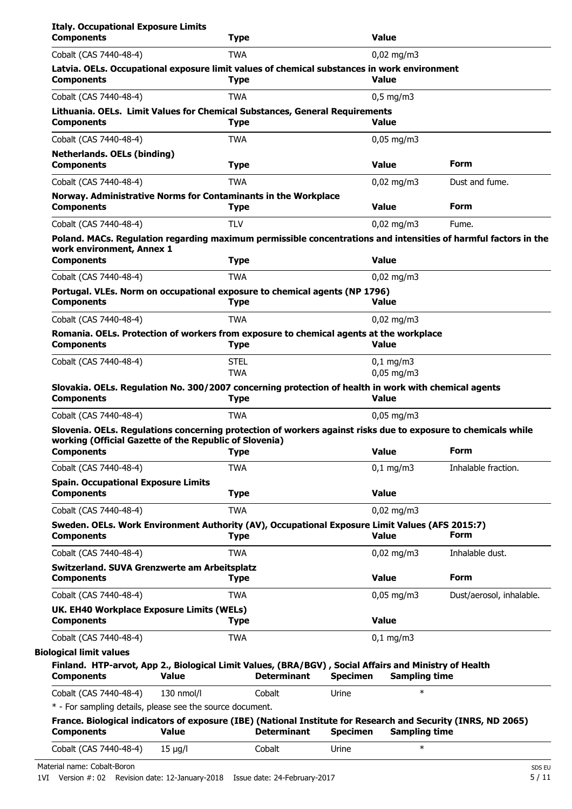|                                                                                                                                                                                                                                                                                                                                                                                                                                                                                       |              | <b>Type</b> |                    |                 | <b>Value</b>                 |                          |
|---------------------------------------------------------------------------------------------------------------------------------------------------------------------------------------------------------------------------------------------------------------------------------------------------------------------------------------------------------------------------------------------------------------------------------------------------------------------------------------|--------------|-------------|--------------------|-----------------|------------------------------|--------------------------|
| Cobalt (CAS 7440-48-4)                                                                                                                                                                                                                                                                                                                                                                                                                                                                |              | TWA         |                    |                 | $0,02$ mg/m3                 |                          |
| Latvia. OELs. Occupational exposure limit values of chemical substances in work environment<br><b>Components</b>                                                                                                                                                                                                                                                                                                                                                                      |              | <b>Type</b> |                    |                 | <b>Value</b>                 |                          |
| Cobalt (CAS 7440-48-4)                                                                                                                                                                                                                                                                                                                                                                                                                                                                |              | <b>TWA</b>  |                    |                 | $0.5 \text{ mg/m}$           |                          |
| Lithuania. OELs. Limit Values for Chemical Substances, General Requirements                                                                                                                                                                                                                                                                                                                                                                                                           |              |             |                    |                 |                              |                          |
| <b>Components</b>                                                                                                                                                                                                                                                                                                                                                                                                                                                                     |              | <b>Type</b> |                    |                 | <b>Value</b>                 |                          |
| Cobalt (CAS 7440-48-4)                                                                                                                                                                                                                                                                                                                                                                                                                                                                |              | <b>TWA</b>  |                    |                 | $0,05$ mg/m3                 |                          |
| <b>Netherlands. OELs (binding)</b><br><b>Components</b>                                                                                                                                                                                                                                                                                                                                                                                                                               |              | <b>Type</b> |                    |                 | <b>Value</b>                 | Form                     |
| Cobalt (CAS 7440-48-4)                                                                                                                                                                                                                                                                                                                                                                                                                                                                |              | <b>TWA</b>  |                    |                 | $0,02 \text{ mg/m}$ 3        | Dust and fume.           |
| Norway. Administrative Norms for Contaminants in the Workplace<br><b>Components</b>                                                                                                                                                                                                                                                                                                                                                                                                   |              | <b>Type</b> |                    |                 | <b>Value</b>                 | <b>Form</b>              |
| Cobalt (CAS 7440-48-4)                                                                                                                                                                                                                                                                                                                                                                                                                                                                |              | <b>TLV</b>  |                    |                 | $0,02 \text{ mg/m}$ 3        | Fume.                    |
| Poland. MACs. Regulation regarding maximum permissible concentrations and intensities of harmful factors in the<br>work environment, Annex 1                                                                                                                                                                                                                                                                                                                                          |              |             |                    |                 |                              |                          |
| <b>Components</b>                                                                                                                                                                                                                                                                                                                                                                                                                                                                     |              | <b>Type</b> |                    |                 | <b>Value</b>                 |                          |
| Cobalt (CAS 7440-48-4)                                                                                                                                                                                                                                                                                                                                                                                                                                                                |              | <b>TWA</b>  |                    |                 | $0,02$ mg/m3                 |                          |
| Portugal. VLEs. Norm on occupational exposure to chemical agents (NP 1796)<br><b>Components</b>                                                                                                                                                                                                                                                                                                                                                                                       |              | <b>Type</b> |                    |                 | Value                        |                          |
| Cobalt (CAS 7440-48-4)                                                                                                                                                                                                                                                                                                                                                                                                                                                                |              | <b>TWA</b>  |                    |                 | $0,02$ mg/m3                 |                          |
| Romania. OELs. Protection of workers from exposure to chemical agents at the workplace<br><b>Components</b>                                                                                                                                                                                                                                                                                                                                                                           |              | <b>Type</b> |                    |                 | <b>Value</b>                 |                          |
| Cobalt (CAS 7440-48-4)                                                                                                                                                                                                                                                                                                                                                                                                                                                                |              | <b>STEL</b> |                    |                 | $0,1 \, \text{mg/m}$         |                          |
|                                                                                                                                                                                                                                                                                                                                                                                                                                                                                       |              | <b>TWA</b>  |                    |                 | $0,05$ mg/m3                 |                          |
| Slovakia. OELs. Regulation No. 300/2007 concerning protection of health in work with chemical agents<br><b>Components</b>                                                                                                                                                                                                                                                                                                                                                             |              | <b>Type</b> |                    |                 | <b>Value</b>                 |                          |
| Cobalt (CAS 7440-48-4)                                                                                                                                                                                                                                                                                                                                                                                                                                                                |              | <b>TWA</b>  |                    |                 | $0,05$ mg/m3                 |                          |
| Slovenia. OELs. Regulations concerning protection of workers against risks due to exposure to chemicals while                                                                                                                                                                                                                                                                                                                                                                         |              |             |                    |                 |                              |                          |
| working (Official Gazette of the Republic of Slovenia)<br><b>Components</b>                                                                                                                                                                                                                                                                                                                                                                                                           |              | <b>Type</b> |                    |                 | <b>Value</b>                 | Form                     |
| Cobalt (CAS 7440-48-4)                                                                                                                                                                                                                                                                                                                                                                                                                                                                |              | <b>TWA</b>  |                    |                 | $0,1$ mg/m3                  | Inhalable fraction.      |
| <b>Spain. Occupational Exposure Limits</b><br><b>Components</b>                                                                                                                                                                                                                                                                                                                                                                                                                       |              | <b>Type</b> |                    |                 | <b>Value</b>                 |                          |
|                                                                                                                                                                                                                                                                                                                                                                                                                                                                                       |              | <b>TWA</b>  |                    |                 | $0,02$ mg/m3                 |                          |
|                                                                                                                                                                                                                                                                                                                                                                                                                                                                                       |              |             |                    |                 |                              |                          |
|                                                                                                                                                                                                                                                                                                                                                                                                                                                                                       |              | <b>Type</b> |                    |                 | <b>Value</b>                 | <b>Form</b>              |
|                                                                                                                                                                                                                                                                                                                                                                                                                                                                                       |              | <b>TWA</b>  |                    |                 |                              | Inhalable dust.          |
|                                                                                                                                                                                                                                                                                                                                                                                                                                                                                       |              | <b>Type</b> |                    |                 | $0,02$ mg/m3<br><b>Value</b> | Form                     |
| Cobalt (CAS 7440-48-4)<br>Sweden. OELs. Work Environment Authority (AV), Occupational Exposure Limit Values (AFS 2015:7)<br><b>Components</b><br>Cobalt (CAS 7440-48-4)<br>Switzerland. SUVA Grenzwerte am Arbeitsplatz<br><b>Components</b><br>Cobalt (CAS 7440-48-4)                                                                                                                                                                                                                |              | <b>TWA</b>  |                    |                 |                              |                          |
|                                                                                                                                                                                                                                                                                                                                                                                                                                                                                       |              | <b>Type</b> |                    |                 | $0,05$ mg/m3<br><b>Value</b> |                          |
|                                                                                                                                                                                                                                                                                                                                                                                                                                                                                       |              |             |                    |                 |                              |                          |
|                                                                                                                                                                                                                                                                                                                                                                                                                                                                                       |              | <b>TWA</b>  |                    |                 | $0,1$ mg/m3                  |                          |
|                                                                                                                                                                                                                                                                                                                                                                                                                                                                                       | <b>Value</b> |             | <b>Determinant</b> | <b>Specimen</b> | <b>Sampling time</b>         |                          |
|                                                                                                                                                                                                                                                                                                                                                                                                                                                                                       | 130 nmol/l   |             | Cobalt             | Urine           | $\ast$                       | Dust/aerosol, inhalable. |
|                                                                                                                                                                                                                                                                                                                                                                                                                                                                                       |              |             |                    |                 |                              |                          |
| UK. EH40 Workplace Exposure Limits (WELs)<br><b>Components</b><br>Cobalt (CAS 7440-48-4)<br><b>Biological limit values</b><br>Finland. HTP-arvot, App 2., Biological Limit Values, (BRA/BGV), Social Affairs and Ministry of Health<br><b>Components</b><br>Cobalt (CAS 7440-48-4)<br>* - For sampling details, please see the source document.<br>France. Biological indicators of exposure (IBE) (National Institute for Research and Security (INRS, ND 2065)<br><b>Components</b> | <b>Value</b> |             | <b>Determinant</b> | <b>Specimen</b> | <b>Sampling time</b>         |                          |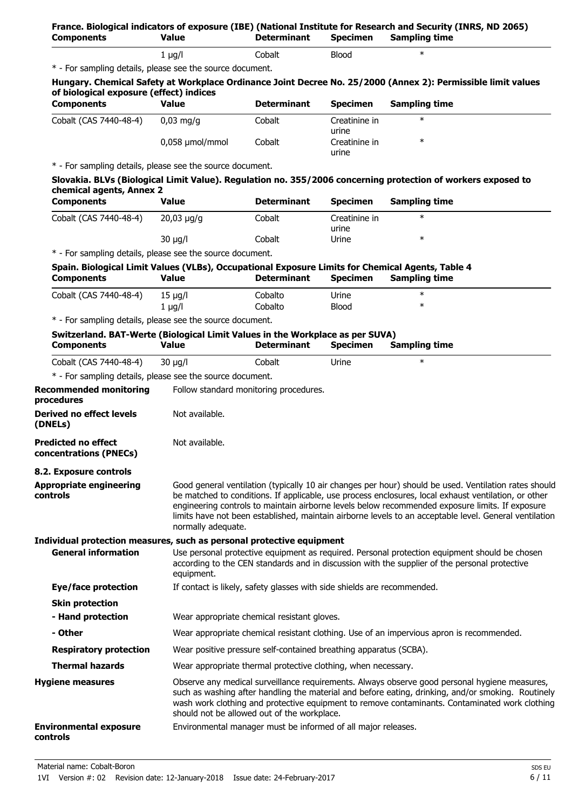| <b>Components</b>                                                                                  | <b>Value</b>       | <b>Determinant</b>                                                      | <b>Specimen</b>        | France. Biological indicators of exposure (IBE) (National Institute for Research and Security (INRS, ND 2065)<br><b>Sampling time</b>                                                                                                                                                                                                                                                                                      |
|----------------------------------------------------------------------------------------------------|--------------------|-------------------------------------------------------------------------|------------------------|----------------------------------------------------------------------------------------------------------------------------------------------------------------------------------------------------------------------------------------------------------------------------------------------------------------------------------------------------------------------------------------------------------------------------|
|                                                                                                    | $1$ µg/l           | Cobalt                                                                  | <b>Blood</b>           | $\ast$                                                                                                                                                                                                                                                                                                                                                                                                                     |
| * - For sampling details, please see the source document.                                          |                    |                                                                         |                        |                                                                                                                                                                                                                                                                                                                                                                                                                            |
| of biological exposure (effect) indices                                                            |                    |                                                                         |                        | Hungary. Chemical Safety at Workplace Ordinance Joint Decree No. 25/2000 (Annex 2): Permissible limit values                                                                                                                                                                                                                                                                                                               |
| <b>Components</b>                                                                                  | <b>Value</b>       | <b>Determinant</b>                                                      | <b>Specimen</b>        | <b>Sampling time</b>                                                                                                                                                                                                                                                                                                                                                                                                       |
| Cobalt (CAS 7440-48-4)                                                                             | $0,03$ mg/g        | Cobalt                                                                  | Creatinine in<br>urine | $\ast$                                                                                                                                                                                                                                                                                                                                                                                                                     |
|                                                                                                    | 0,058 µmol/mmol    | Cobalt                                                                  | Creatinine in<br>urine | $\ast$                                                                                                                                                                                                                                                                                                                                                                                                                     |
| * - For sampling details, please see the source document.                                          |                    |                                                                         |                        |                                                                                                                                                                                                                                                                                                                                                                                                                            |
|                                                                                                    |                    |                                                                         |                        | Slovakia. BLVs (Biological Limit Value). Regulation no. 355/2006 concerning protection of workers exposed to                                                                                                                                                                                                                                                                                                               |
| chemical agents, Annex 2<br><b>Components</b>                                                      | <b>Value</b>       | <b>Determinant</b>                                                      | <b>Specimen</b>        | <b>Sampling time</b>                                                                                                                                                                                                                                                                                                                                                                                                       |
| Cobalt (CAS 7440-48-4)                                                                             | $20,03 \mu g/g$    | Cobalt                                                                  | Creatinine in          | $\ast$                                                                                                                                                                                                                                                                                                                                                                                                                     |
|                                                                                                    | $30 \mu g/l$       | Cobalt                                                                  | urine<br>Urine         | $\ast$                                                                                                                                                                                                                                                                                                                                                                                                                     |
| * - For sampling details, please see the source document.                                          |                    |                                                                         |                        |                                                                                                                                                                                                                                                                                                                                                                                                                            |
| Spain. Biological Limit Values (VLBs), Occupational Exposure Limits for Chemical Agents, Table 4   |                    |                                                                         |                        |                                                                                                                                                                                                                                                                                                                                                                                                                            |
| <b>Components</b>                                                                                  | <b>Value</b>       | <b>Determinant</b>                                                      | <b>Specimen</b>        | <b>Sampling time</b>                                                                                                                                                                                                                                                                                                                                                                                                       |
| Cobalt (CAS 7440-48-4)                                                                             | $15 \mu q/l$       | Cobalto                                                                 | Urine                  | $\ast$                                                                                                                                                                                                                                                                                                                                                                                                                     |
|                                                                                                    | $1 \mu g/l$        | Cobalto                                                                 | <b>Blood</b>           | $\ast$                                                                                                                                                                                                                                                                                                                                                                                                                     |
| * - For sampling details, please see the source document.                                          |                    |                                                                         |                        |                                                                                                                                                                                                                                                                                                                                                                                                                            |
| Switzerland. BAT-Werte (Biological Limit Values in the Workplace as per SUVA)<br><b>Components</b> | <b>Value</b>       | <b>Determinant</b>                                                      | <b>Specimen</b>        | <b>Sampling time</b>                                                                                                                                                                                                                                                                                                                                                                                                       |
| Cobalt (CAS 7440-48-4)                                                                             | $30 \mu g/l$       | Cobalt                                                                  | Urine                  | $\ast$                                                                                                                                                                                                                                                                                                                                                                                                                     |
| * - For sampling details, please see the source document.                                          |                    |                                                                         |                        |                                                                                                                                                                                                                                                                                                                                                                                                                            |
| <b>Recommended monitoring</b><br>procedures                                                        |                    | Follow standard monitoring procedures.                                  |                        |                                                                                                                                                                                                                                                                                                                                                                                                                            |
| <b>Derived no effect levels</b><br>(DNELs)                                                         | Not available.     |                                                                         |                        |                                                                                                                                                                                                                                                                                                                                                                                                                            |
| <b>Predicted no effect</b><br>concentrations (PNECs)                                               | Not available.     |                                                                         |                        |                                                                                                                                                                                                                                                                                                                                                                                                                            |
| 8.2. Exposure controls                                                                             |                    |                                                                         |                        |                                                                                                                                                                                                                                                                                                                                                                                                                            |
| <b>Appropriate engineering</b><br>controls                                                         | normally adequate. |                                                                         |                        | Good general ventilation (typically 10 air changes per hour) should be used. Ventilation rates should<br>be matched to conditions. If applicable, use process enclosures, local exhaust ventilation, or other<br>engineering controls to maintain airborne levels below recommended exposure limits. If exposure<br>limits have not been established, maintain airborne levels to an acceptable level. General ventilation |
| Individual protection measures, such as personal protective equipment                              |                    |                                                                         |                        |                                                                                                                                                                                                                                                                                                                                                                                                                            |
| <b>General information</b>                                                                         | equipment.         |                                                                         |                        | Use personal protective equipment as required. Personal protection equipment should be chosen<br>according to the CEN standards and in discussion with the supplier of the personal protective                                                                                                                                                                                                                             |
| <b>Eye/face protection</b>                                                                         |                    | If contact is likely, safety glasses with side shields are recommended. |                        |                                                                                                                                                                                                                                                                                                                                                                                                                            |
| <b>Skin protection</b>                                                                             |                    |                                                                         |                        |                                                                                                                                                                                                                                                                                                                                                                                                                            |
| - Hand protection                                                                                  |                    | Wear appropriate chemical resistant gloves.                             |                        |                                                                                                                                                                                                                                                                                                                                                                                                                            |
| - Other                                                                                            |                    |                                                                         |                        | Wear appropriate chemical resistant clothing. Use of an impervious apron is recommended.                                                                                                                                                                                                                                                                                                                                   |
| <b>Respiratory protection</b>                                                                      |                    | Wear positive pressure self-contained breathing apparatus (SCBA).       |                        |                                                                                                                                                                                                                                                                                                                                                                                                                            |
| <b>Thermal hazards</b>                                                                             |                    | Wear appropriate thermal protective clothing, when necessary.           |                        |                                                                                                                                                                                                                                                                                                                                                                                                                            |
| <b>Hygiene measures</b>                                                                            |                    |                                                                         |                        | Observe any medical surveillance requirements. Always observe good personal hygiene measures,                                                                                                                                                                                                                                                                                                                              |
|                                                                                                    |                    | should not be allowed out of the workplace.                             |                        | such as washing after handling the material and before eating, drinking, and/or smoking. Routinely<br>wash work clothing and protective equipment to remove contaminants. Contaminated work clothing                                                                                                                                                                                                                       |
| <b>Environmental exposure</b><br>controls                                                          |                    | Environmental manager must be informed of all major releases.           |                        |                                                                                                                                                                                                                                                                                                                                                                                                                            |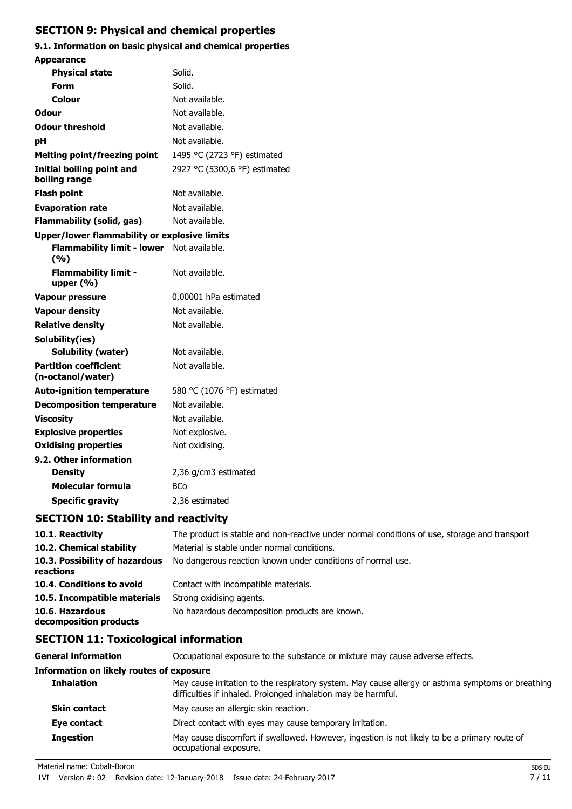## **SECTION 9: Physical and chemical properties**

#### **9.1. Information on basic physical and chemical properties Appearance**

| <b>Appearance</b>                                   |                               |
|-----------------------------------------------------|-------------------------------|
| <b>Physical state</b>                               | Solid.                        |
| <b>Form</b>                                         | Solid.                        |
| Colour                                              | Not available.                |
| Odour                                               | Not available.                |
| <b>Odour threshold</b>                              | Not available.                |
| pH                                                  | Not available.                |
| <b>Melting point/freezing point</b>                 | 1495 °C (2723 °F) estimated   |
| Initial boiling point and<br>boiling range          | 2927 °C (5300,6 °F) estimated |
| <b>Flash point</b>                                  | Not available.                |
| <b>Evaporation rate</b>                             | Not available.                |
| Flammability (solid, gas)                           | Not available.                |
| <b>Upper/lower flammability or explosive limits</b> |                               |
| <b>Flammability limit - lower</b><br>(9/6)          | Not available.                |
| <b>Flammability limit -</b><br>upper (%)            | Not available.                |
| <b>Vapour pressure</b>                              | 0,00001 hPa estimated         |
| <b>Vapour density</b>                               | Not available.                |
| <b>Relative density</b>                             | Not available.                |
| Solubility(ies)                                     |                               |
| <b>Solubility (water)</b>                           | Not available.                |
| <b>Partition coefficient</b><br>(n-octanol/water)   | Not available.                |
| <b>Auto-ignition temperature</b>                    | 580 °C (1076 °F) estimated    |
| <b>Decomposition temperature</b>                    | Not available.                |
| <b>Viscosity</b>                                    | Not available.                |
| <b>Explosive properties</b>                         | Not explosive.                |
| <b>Oxidising properties</b>                         | Not oxidising.                |
| 9.2. Other information                              |                               |
| <b>Density</b>                                      | 2,36 g/cm3 estimated          |
| Molecular formula                                   | <b>BCo</b>                    |
| <b>Specific gravity</b>                             | 2,36 estimated                |

## **SECTION 10: Stability and reactivity**

| 10.1. Reactivity                            | The product is stable and non-reactive under normal conditions of use, storage and transport. |
|---------------------------------------------|-----------------------------------------------------------------------------------------------|
| 10.2. Chemical stability                    | Material is stable under normal conditions.                                                   |
| 10.3. Possibility of hazardous<br>reactions | No dangerous reaction known under conditions of normal use.                                   |
| 10.4. Conditions to avoid                   | Contact with incompatible materials.                                                          |
| 10.5. Incompatible materials                | Strong oxidising agents.                                                                      |
| 10.6. Hazardous<br>decomposition products   | No hazardous decomposition products are known.                                                |

## **SECTION 11: Toxicological information**

**General information CCCUPATION** Occupational exposure to the substance or mixture may cause adverse effects.

## **Information on likely routes of exposure Inhalation** May cause irritation to the respiratory system. May cause allergy or asthma symptoms or breathing difficulties if inhaled. Prolonged inhalation may be harmful. **Skin contact** May cause an allergic skin reaction. **Eye contact** Direct contact with eyes may cause temporary irritation. **Ingestion** May cause discomfort if swallowed. However, ingestion is not likely to be a primary route of occupational exposure.

Material name: Cobalt-Boron Sps EU and Sps European Sps European Sps European Sps European Sps European Sps Eu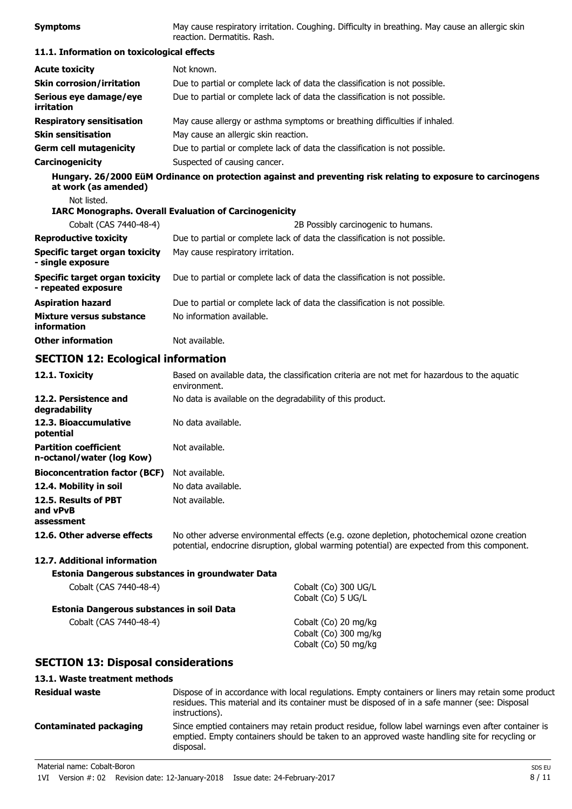| <b>Symptoms</b>                                              | May cause respiratory irritation. Coughing. Difficulty in breathing. May cause an allergic skin<br>reaction. Dermatitis. Rash. |
|--------------------------------------------------------------|--------------------------------------------------------------------------------------------------------------------------------|
| 11.1. Information on toxicological effects                   |                                                                                                                                |
| <b>Acute toxicity</b>                                        | Not known.                                                                                                                     |
| <b>Skin corrosion/irritation</b>                             | Due to partial or complete lack of data the classification is not possible.                                                    |
| Serious eye damage/eye<br>irritation                         | Due to partial or complete lack of data the classification is not possible.                                                    |
| <b>Respiratory sensitisation</b>                             | May cause allergy or asthma symptoms or breathing difficulties if inhaled.                                                     |
| <b>Skin sensitisation</b>                                    | May cause an allergic skin reaction.                                                                                           |
| <b>Germ cell mutagenicity</b>                                | Due to partial or complete lack of data the classification is not possible.                                                    |
| Carcinogenicity                                              | Suspected of causing cancer.                                                                                                   |
| at work (as amended)                                         | Hungary. 26/2000 EüM Ordinance on protection against and preventing risk relating to exposure to carcinogens                   |
| Not listed.                                                  |                                                                                                                                |
|                                                              | <b>IARC Monographs. Overall Evaluation of Carcinogenicity</b>                                                                  |
| Cobalt (CAS 7440-48-4)                                       | 2B Possibly carcinogenic to humans.                                                                                            |
| <b>Reproductive toxicity</b>                                 | Due to partial or complete lack of data the classification is not possible.                                                    |
| <b>Specific target organ toxicity</b><br>- single exposure   | May cause respiratory irritation.                                                                                              |
| <b>Specific target organ toxicity</b><br>- repeated exposure | Due to partial or complete lack of data the classification is not possible.                                                    |
| <b>Aspiration hazard</b>                                     | Due to partial or complete lack of data the classification is not possible.                                                    |
| <b>Mixture versus substance</b><br>information               | No information available.                                                                                                      |
| <b>Other information</b>                                     | Not available.                                                                                                                 |
| <b>SECTION 12: Ecological information</b>                    |                                                                                                                                |
| 12.1. Toxicity                                               | Based on available data, the classification criteria are not met for hazardous to the aquatic<br>environment.                  |
| 12.2. Persistence and<br>degradability                       | No data is available on the degradability of this product.                                                                     |
| 12.3. Bioaccumulative<br>potential                           | No data available.                                                                                                             |
| <b>Partition coefficient</b><br>n-octanol/water (log Kow)    | Not available.                                                                                                                 |
| <b>Bioconcentration factor (BCF)</b>                         | Not available.                                                                                                                 |
| 12.4. Mobility in soil                                       | No data available.                                                                                                             |
| 12.5. Results of PBT<br>and vPvB                             | Not available.                                                                                                                 |

**12.6. Other adverse effects** No other adverse environmental effects (e.g. ozone depletion, photochemical ozone creation potential, endocrine disruption, global warming potential) are expected from this component.

#### **12.7. Additional information**

**assessment**

| Estonia Dangerous substances in groundwater Data |                       |
|--------------------------------------------------|-----------------------|
| Cobalt (CAS 7440-48-4)                           | Cobalt (Co) 300 UG/L  |
|                                                  | Cobalt (Co) 5 UG/L    |
| Estonia Dangerous substances in soil Data        |                       |
| Cobalt (CAS 7440-48-4)                           | Cobalt (Co) 20 mg/kg  |
|                                                  | Cobalt (Co) 300 mg/kg |
|                                                  | Cobalt (Co) 50 mg/kg  |

### **SECTION 13: Disposal considerations**

#### **13.1. Waste treatment methods**

| <b>Residual waste</b>         | Dispose of in accordance with local regulations. Empty containers or liners may retain some product<br>residues. This material and its container must be disposed of in a safe manner (see: Disposal<br>instructions). |
|-------------------------------|------------------------------------------------------------------------------------------------------------------------------------------------------------------------------------------------------------------------|
| <b>Contaminated packaging</b> | Since emptied containers may retain product residue, follow label warnings even after container is<br>emptied. Empty containers should be taken to an approved waste handling site for recycling or<br>disposal.       |
| Material name: Cobalt-Boron   | SDS EU                                                                                                                                                                                                                 |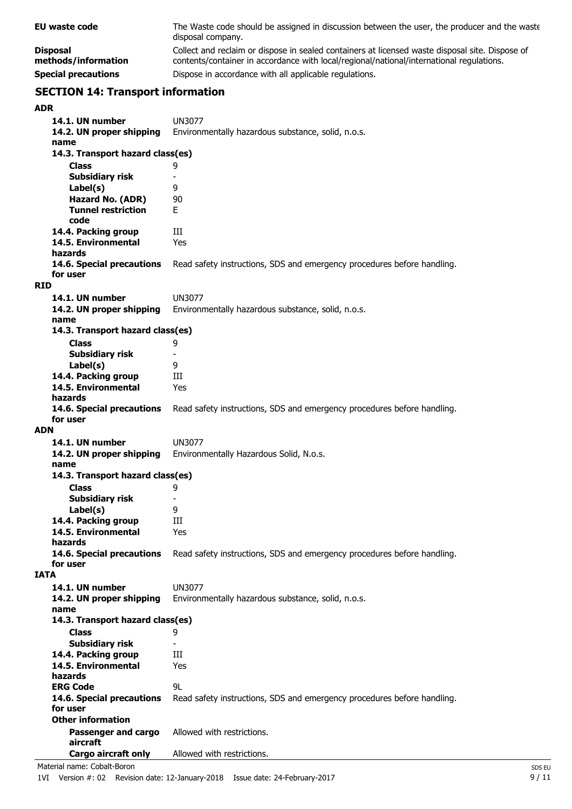| EU waste code                          | The Waste code should be assigned in discussion between the user, the producer and the waste<br>disposal company.                                                                           |
|----------------------------------------|---------------------------------------------------------------------------------------------------------------------------------------------------------------------------------------------|
| <b>Disposal</b><br>methods/information | Collect and reclaim or dispose in sealed containers at licensed waste disposal site. Dispose of<br>contents/container in accordance with local/regional/national/international regulations. |
| <b>Special precautions</b>             | Dispose in accordance with all applicable regulations.                                                                                                                                      |

## **SECTION 14: Transport information**

| 14.1. UN number                            | UN3077                                                                  |
|--------------------------------------------|-------------------------------------------------------------------------|
| 14.2. UN proper shipping<br>name           | Environmentally hazardous substance, solid, n.o.s.                      |
| 14.3. Transport hazard class(es)           |                                                                         |
| Class                                      | 9                                                                       |
| Subsidiary risk                            | $\overline{\phantom{a}}$                                                |
| Label(s)                                   | 9                                                                       |
| Hazard No. (ADR)                           | 90                                                                      |
| <b>Tunnel restriction</b>                  | E.                                                                      |
| code                                       |                                                                         |
| 14.4. Packing group                        | Ш                                                                       |
| 14.5. Environmental                        | Yes                                                                     |
| hazards                                    |                                                                         |
| 14.6. Special precautions<br>for user      | Read safety instructions, SDS and emergency procedures before handling. |
| <b>RID</b>                                 |                                                                         |
| 14.1. UN number                            | UN3077                                                                  |
| 14.2. UN proper shipping                   | Environmentally hazardous substance, solid, n.o.s.                      |
| name                                       |                                                                         |
| 14.3. Transport hazard class(es)           |                                                                         |
| <b>Class</b>                               | 9                                                                       |
| Subsidiary risk                            |                                                                         |
| Label(s)                                   | 9                                                                       |
| 14.4. Packing group                        | Ш                                                                       |
| 14.5. Environmental                        | Yes                                                                     |
| hazards<br>14.6. Special precautions       | Read safety instructions, SDS and emergency procedures before handling. |
| for user                                   |                                                                         |
| <b>ADN</b>                                 |                                                                         |
|                                            |                                                                         |
| 14.1. UN number                            | <b>UN3077</b>                                                           |
| 14.2. UN proper shipping                   | Environmentally Hazardous Solid, N.o.s.                                 |
| name                                       |                                                                         |
| 14.3. Transport hazard class(es)           |                                                                         |
| <b>Class</b>                               | 9                                                                       |
| <b>Subsidiary risk</b>                     | $\overline{\phantom{a}}$                                                |
| Label(s)                                   | 9                                                                       |
| 14.4. Packing group                        | Ш                                                                       |
| 14.5. Environmental<br>hazards             | Yes                                                                     |
| 14.6. Special precautions                  | Read safety instructions, SDS and emergency procedures before handling. |
| for user                                   |                                                                         |
| <b>IATA</b>                                |                                                                         |
| 14.1. UN number                            | <b>UN3077</b>                                                           |
| 14.2. UN proper shipping                   | Environmentally hazardous substance, solid, n.o.s.                      |
| name                                       |                                                                         |
| 14.3. Transport hazard class(es)           |                                                                         |
| Class                                      | 9<br>$\overline{\phantom{0}}$                                           |
| Subsidiary risk                            | Ш                                                                       |
| 14.4. Packing group<br>14.5. Environmental | Yes                                                                     |
| hazards                                    |                                                                         |
| <b>ERG Code</b>                            | 9L                                                                      |
| 14.6. Special precautions                  | Read safety instructions, SDS and emergency procedures before handling. |
| for user                                   |                                                                         |
| <b>Other information</b>                   |                                                                         |
| Passenger and cargo                        | Allowed with restrictions.                                              |
| aircraft<br>Cargo aircraft only            | Allowed with restrictions.                                              |

Material name: Cobalt-Boron<br>1VI Version #: 02 Revision date: 12-January-2018 Issue date: 24-February-2017<br>9/11 1VI Version #: 02 Revision date: 12-January-2018 Issue date: 24-February-2017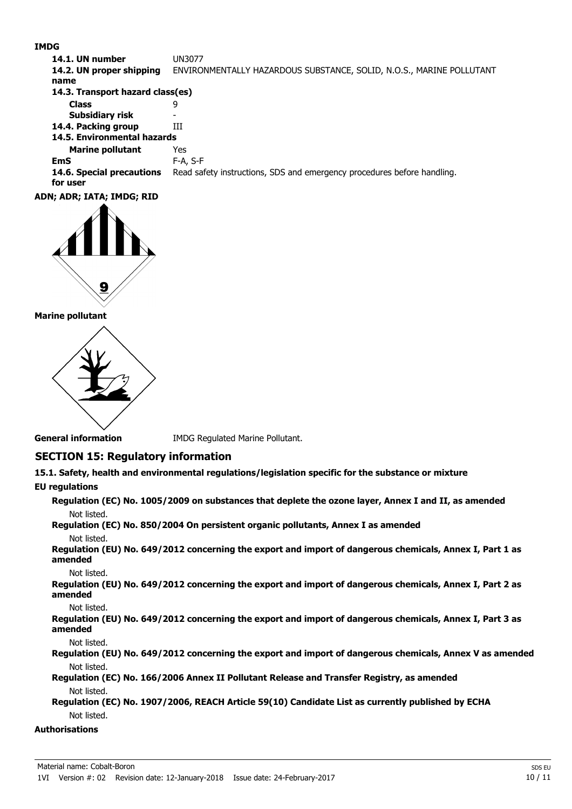#### **IMDG**

**14.1. UN number** UN3077 **14.2. UN proper shipping** ENVIRONMENTALLY HAZARDOUS SUBSTANCE, SOLID, N.O.S., MARINE POLLUTANT **name Class** 9 **14.3. Transport hazard class(es) Subsidiary risk 14.4. Packing group III Marine pollutant** Yes **14.5. Environmental hazards EmS** F-A, S-F **14.6. Special precautions** Read safety instructions, SDS and emergency procedures before handling. **for user**



#### **Marine pollutant**



**General information IMDG Regulated Marine Pollutant.** 

#### **SECTION 15: Regulatory information**

**15.1. Safety, health and environmental regulations/legislation specific for the substance or mixture**

#### **EU regulations**

**Regulation (EC) No. 1005/2009 on substances that deplete the ozone layer, Annex I and II, as amended** Not listed.

**Regulation (EC) No. 850/2004 On persistent organic pollutants, Annex I as amended** Not listed.

**Regulation (EU) No. 649/2012 concerning the export and import of dangerous chemicals, Annex I, Part 1 as amended**

Not listed.

**Regulation (EU) No. 649/2012 concerning the export and import of dangerous chemicals, Annex I, Part 2 as amended**

Not listed.

**Regulation (EU) No. 649/2012 concerning the export and import of dangerous chemicals, Annex I, Part 3 as amended**

Not listed.

**Regulation (EU) No. 649/2012 concerning the export and import of dangerous chemicals, Annex V as amended** Not listed.

**Regulation (EC) No. 166/2006 Annex II Pollutant Release and Transfer Registry, as amended** Not listed.

**Regulation (EC) No. 1907/2006, REACH Article 59(10) Candidate List as currently published by ECHA** Not listed.

#### **Authorisations**